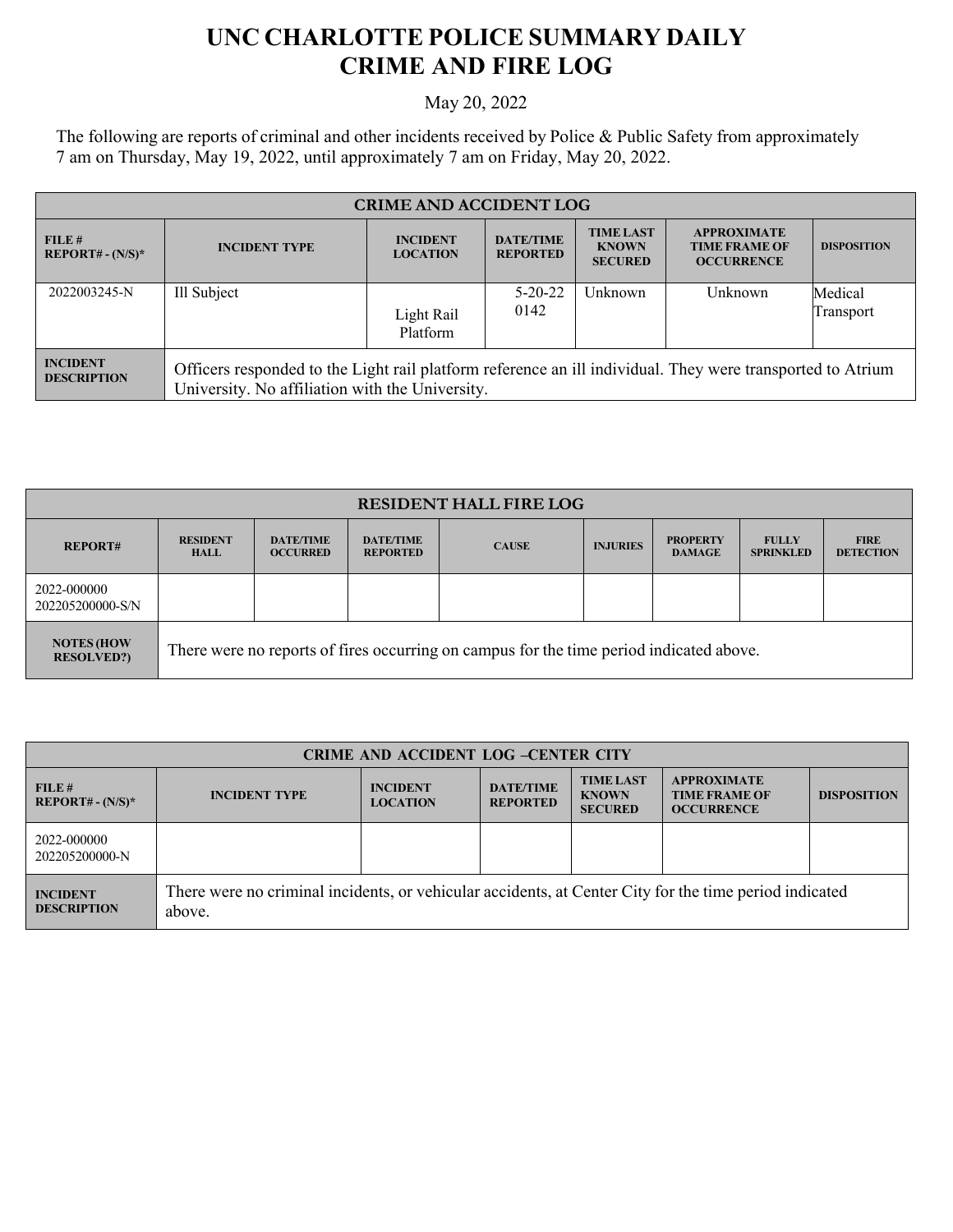## **UNC CHARLOTTE POLICE SUMMARY DAILY CRIME AND FIRE LOG**

May 20, 2022

The following are reports of criminal and other incidents received by Police & Public Safety from approximately 7 am on Thursday, May 19, 2022, until approximately 7 am on Friday, May 20, 2022.

| <b>CRIME AND ACCIDENT LOG</b>         |                                                                                                                                                               |                                    |                                     |                                                    |                                                                 |                      |
|---------------------------------------|---------------------------------------------------------------------------------------------------------------------------------------------------------------|------------------------------------|-------------------------------------|----------------------------------------------------|-----------------------------------------------------------------|----------------------|
| FILE#<br>$REPORT# - (N/S)*$           | <b>INCIDENT TYPE</b>                                                                                                                                          | <b>INCIDENT</b><br><b>LOCATION</b> | <b>DATE/TIME</b><br><b>REPORTED</b> | <b>TIME LAST</b><br><b>KNOWN</b><br><b>SECURED</b> | <b>APPROXIMATE</b><br><b>TIME FRAME OF</b><br><b>OCCURRENCE</b> | <b>DISPOSITION</b>   |
| 2022003245-N                          | Ill Subject                                                                                                                                                   | Light Rail<br>Platform             | $5 - 20 - 22$<br>0142               | Unknown                                            | Unknown                                                         | Medical<br>Transport |
| <b>INCIDENT</b><br><b>DESCRIPTION</b> | Officers responded to the Light rail platform reference an ill individual. They were transported to Atrium<br>University. No affiliation with the University. |                                    |                                     |                                                    |                                                                 |                      |

| <b>RESIDENT HALL FIRE LOG</b>          |                                                                                         |                                     |                                     |              |                 |                                  |                                  |                                 |
|----------------------------------------|-----------------------------------------------------------------------------------------|-------------------------------------|-------------------------------------|--------------|-----------------|----------------------------------|----------------------------------|---------------------------------|
| <b>REPORT#</b>                         | <b>RESIDENT</b><br><b>HALL</b>                                                          | <b>DATE/TIME</b><br><b>OCCURRED</b> | <b>DATE/TIME</b><br><b>REPORTED</b> | <b>CAUSE</b> | <b>INJURIES</b> | <b>PROPERTY</b><br><b>DAMAGE</b> | <b>FULLY</b><br><b>SPRINKLED</b> | <b>FIRE</b><br><b>DETECTION</b> |
| 2022-000000<br>202205200000-S/N        |                                                                                         |                                     |                                     |              |                 |                                  |                                  |                                 |
| <b>NOTES (HOW</b><br><b>RESOLVED?)</b> | There were no reports of fires occurring on campus for the time period indicated above. |                                     |                                     |              |                 |                                  |                                  |                                 |

| <b>CRIME AND ACCIDENT LOG -CENTER CITY</b> |                                                                                                                  |                                    |                                     |                                                    |                                                                 |                    |
|--------------------------------------------|------------------------------------------------------------------------------------------------------------------|------------------------------------|-------------------------------------|----------------------------------------------------|-----------------------------------------------------------------|--------------------|
| FILE#<br>$REPORT# - (N/S)*$                | <b>INCIDENT TYPE</b>                                                                                             | <b>INCIDENT</b><br><b>LOCATION</b> | <b>DATE/TIME</b><br><b>REPORTED</b> | <b>TIME LAST</b><br><b>KNOWN</b><br><b>SECURED</b> | <b>APPROXIMATE</b><br><b>TIME FRAME OF</b><br><b>OCCURRENCE</b> | <b>DISPOSITION</b> |
| 2022-000000<br>202205200000-N              |                                                                                                                  |                                    |                                     |                                                    |                                                                 |                    |
| <b>INCIDENT</b><br><b>DESCRIPTION</b>      | There were no criminal incidents, or vehicular accidents, at Center City for the time period indicated<br>above. |                                    |                                     |                                                    |                                                                 |                    |